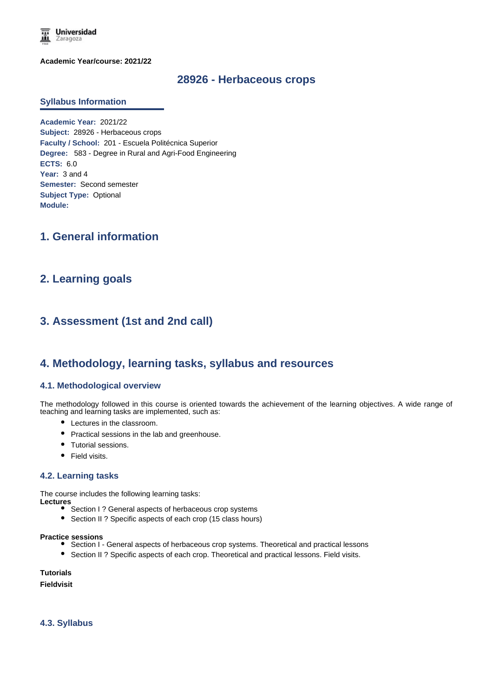

**Academic Year/course: 2021/22**

### **28926 - Herbaceous crops**

#### **Syllabus Information**

**Academic Year:** 2021/22 **Subject:** 28926 - Herbaceous crops **Faculty / School:** 201 - Escuela Politécnica Superior **Degree:** 583 - Degree in Rural and Agri-Food Engineering **ECTS:** 6.0 **Year:** 3 and 4 **Semester:** Second semester **Subject Type:** Optional **Module:**

# **1. General information**

## **2. Learning goals**

# **3. Assessment (1st and 2nd call)**

### **4. Methodology, learning tasks, syllabus and resources**

#### **4.1. Methodological overview**

The methodology followed in this course is oriented towards the achievement of the learning objectives. A wide range of teaching and learning tasks are implemented, such as:

- Lectures in the classroom.
- Practical sessions in the lab and greenhouse.
- Tutorial sessions.
- Field visits.

#### **4.2. Learning tasks**

The course includes the following learning tasks:

**Lectures**

- Section I? General aspects of herbaceous crop systems
- Section II ? Specific aspects of each crop (15 class hours)

**Practice sessions**

- Section I General aspects of herbaceous crop systems. Theoretical and practical lessons
- Section II ? Specific aspects of each crop. Theoretical and practical lessons. Field visits.

**Tutorials**

**Fieldvisit**

**4.3. Syllabus**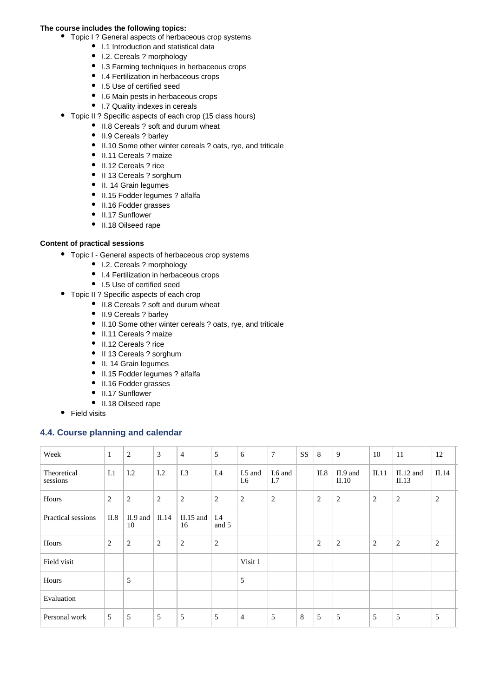#### **The course includes the following topics:**

- Topic I ? General aspects of herbaceous crop systems
	- I.1 Introduction and statistical data
	- I.2. Cereals ? morphology
	- I.3 Farming techniques in herbaceous crops
	- I.4 Fertilization in herbaceous crops
	- I.5 Use of certified seed
	- I.6 Main pests in herbaceous crops
	- I.7 Quality indexes in cereals
- Topic II ? Specific aspects of each crop (15 class hours)
	- II.8 Cereals ? soft and durum wheat
	- II.9 Cereals ? barley
	- II.10 Some other winter cereals ? oats, rye, and triticale
	- II.11 Cereals ? maize
	- II.12 Cereals ? rice
	- II 13 Cereals ? sorghum
	- II. 14 Grain legumes
	- II.15 Fodder legumes ? alfalfa
	- II.16 Fodder grasses
	- II.17 Sunflower
	- II.18 Oilseed rape

#### **Content of practical sessions**

- Topic I General aspects of herbaceous crop systems
	- I.2. Cereals ? morphology
	- I.4 Fertilization in herbaceous crops
	- I.5 Use of certified seed
- Topic II ? Specific aspects of each crop
	- II.8 Cereals ? soft and durum wheat
	- II.9 Cereals ? barley
	- II.10 Some other winter cereals ? oats, rye, and triticale
	- II.11 Cereals ? maize
	- II.12 Cereals ? rice
	- II 13 Cereals ? sorghum
	- II. 14 Grain legumes
	- $\bullet$  II.15 Fodder legumes ? alfalfa
	- II.16 Fodder grasses
	- II.17 Sunflower
	- II.18 Oilseed rape
- Field visits

### **4.4. Course planning and calendar**

| Week                    | 1              | $\overline{c}$   | $\overline{3}$ | $\overline{4}$  | 5            | 6              | $\overline{7}$ | SS | 8              | 9                   | 10    | 11                   | 12    |
|-------------------------|----------------|------------------|----------------|-----------------|--------------|----------------|----------------|----|----------------|---------------------|-------|----------------------|-------|
| Theoretical<br>sessions | I.1            | 1.2              | I.2            | I.3             | I.4          | I.5 and<br>I.6 | I.6 and<br>I.7 |    | II.8           | $II.9$ and<br>II.10 | II.11 | $II.12$ and<br>II.13 | II.14 |
| Hours                   | $\overline{2}$ | $\overline{2}$   | 2              | $\overline{2}$  | 2            | 2              | 2              |    | $\overline{2}$ | $\overline{2}$      | 2     | 2                    | 2     |
| Practical sessions      | II.8           | $II.9$ and<br>10 | II.14          | II.15 and<br>16 | I.4<br>and 5 |                |                |    |                |                     |       |                      |       |
| Hours                   | $\overline{2}$ | $\overline{c}$   | 2              | $\overline{2}$  | 2            |                |                |    | 2              | $\overline{2}$      | 2     | 2                    | 2     |
| Field visit             |                |                  |                |                 |              | Visit 1        |                |    |                |                     |       |                      |       |
| Hours                   |                | 5                |                |                 |              | 5              |                |    |                |                     |       |                      |       |
| Evaluation              |                |                  |                |                 |              |                |                |    |                |                     |       |                      |       |
| Personal work           | 5              | 5                | 5              | 5               | 5            | 4              | 5              | 8  | 5              | 5                   | 5     | 5                    | 5     |